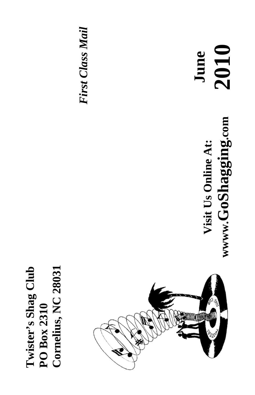**Cornelius, NC 28031 Twister's Shag Club**  Cornelius, NC 28031 Twister's Shag Club PO Box 2310 **PO Box 2310** 



**June** 

**Visit Us Online At:**

Visit Us Online At:

**wwww.GoShagging.com**

www.GoShagging.com

**2010**

*First Class Mail*  **First Class Mail**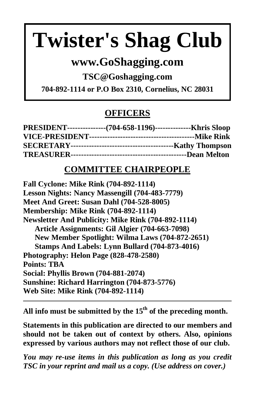# **Twister's Shag Club**

### **www.GoShagging.com**

**TSC@Goshagging.com** 

**704-892-1114 or P.O Box 2310, Cornelius, NC 28031** 

#### **OFFICERS**

| PRESIDENT----------------(704-658-1196)---------------Khris Sloop |  |
|-------------------------------------------------------------------|--|
|                                                                   |  |
|                                                                   |  |
|                                                                   |  |

#### **COMMITTEE CHAIRPEOPLE**

**Fall Cyclone: Mike Rink (704-892-1114) Lesson Nights: Nancy Massengill (704-483-7779) Meet And Greet: Susan Dahl (704-528-8005) Membership: Mike Rink (704-892-1114) Newsletter And Publicity: Mike Rink (704-892-1114) Article Assignments: Gil Algier (704-663-7098) New Member Spotlight: Wilma Laws (704-872-2651) Stamps And Labels: Lynn Bullard (704-873-4016) Photography: Helon Page (828-478-2580) Points: TBA Social: Phyllis Brown (704-881-2074) Sunshine: Richard Harrington (704-873-5776) Web Site: Mike Rink (704-892-1114)** 

All info must be submitted by the 15<sup>th</sup> of the preceding month.

**Statements in this publication are directed to our members and should not be taken out of context by others. Also, opinions expressed by various authors may not reflect those of our club.** 

*You may re-use items in this publication as long as you credit TSC in your reprint and mail us a copy. (Use address on cover.)*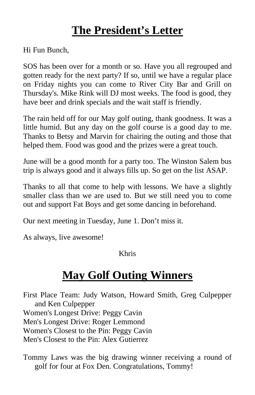## **The President's Letter**

Hi Fun Bunch,

SOS has been over for a month or so. Have you all regrouped and gotten ready for the next party? If so, until we have a regular place on Friday nights you can come to River City Bar and Grill on Thursday's. Mike Rink will DJ most weeks. The food is good, they have beer and drink specials and the wait staff is friendly.

The rain held off for our May golf outing, thank goodness. It was a little humid. But any day on the golf course is a good day to me. Thanks to Betsy and Marvin for chairing the outing and those that helped them. Food was good and the prizes were a great touch.

June will be a good month for a party too. The Winston Salem bus trip is always good and it always fills up. So get on the list ASAP.

Thanks to all that come to help with lessons. We have a slightly smaller class than we are used to. But we still need you to come out and support Fat Boys and get some dancing in beforehand.

Our next meeting in Tuesday, June 1. Don't miss it.

As always, live awesome!

#### Khris

## **May Golf Outing Winners**

First Place Team: Judy Watson, Howard Smith, Greg Culpepper and Ken Culpepper Women's Longest Drive: Peggy Cavin Men's Longest Drive: Roger Lemmond Women's Closest to the Pin: Peggy Cavin Men's Closest to the Pin: Alex Gutierrez

Tommy Laws was the big drawing winner receiving a round of golf for four at Fox Den. Congratulations, Tommy!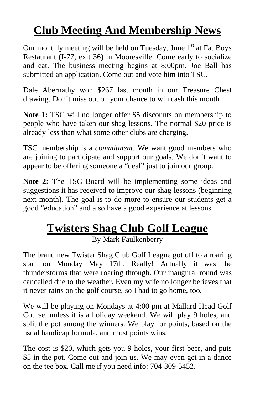## **Club Meeting And Membership News**

Our monthly meeting will be held on Tuesday, June  $1<sup>st</sup>$  at Fat Boys Restaurant (I-77, exit 36) in Mooresville. Come early to socialize and eat. The business meeting begins at 8:00pm. Joe Ball has submitted an application. Come out and vote him into TSC.

Dale Abernathy won \$267 last month in our Treasure Chest drawing. Don't miss out on your chance to win cash this month.

**Note 1:** TSC will no longer offer \$5 discounts on membership to people who have taken our shag lessons. The normal \$20 price is already less than what some other clubs are charging.

TSC membership is a *commitment*. We want good members who are joining to participate and support our goals. We don't want to appear to be offering someone a "deal" just to join our group.

**Note 2:** The TSC Board will be implementing some ideas and suggestions it has received to improve our shag lessons (beginning next month). The goal is to do more to ensure our students get a good "education" and also have a good experience at lessons.

## **Twisters Shag Club Golf League**

By Mark Faulkenberry

The brand new Twister Shag Club Golf League got off to a roaring start on Monday May 17th. Really! Actually it was the thunderstorms that were roaring through. Our inaugural round was cancelled due to the weather. Even my wife no longer believes that it never rains on the golf course, so I had to go home, too.

We will be playing on Mondays at 4:00 pm at Mallard Head Golf Course, unless it is a holiday weekend. We will play 9 holes, and split the pot among the winners. We play for points, based on the usual handicap formula, and most points wins.

The cost is \$20, which gets you 9 holes, your first beer, and puts \$5 in the pot. Come out and join us. We may even get in a dance on the tee box. Call me if you need info: 704-309-5452.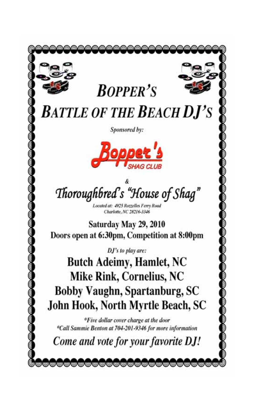**BOPPER'S** 

**BATTLE OF THE BEACH DJ'S** 

Sponsored by:



Thoroughbred's "House of Shag"

Located at: 4925 Rotzelles Ferry Road Charlotte, NC 28216-3346

Saturday May 29, 2010 Doors open at 6:30pm, Competition at 8:00pm

DJ's to play are:

**Butch Adeimy, Hamlet, NC** Mike Rink, Cornelius, NC Bobby Vaughn, Spartanburg, SC John Hook, North Myrtle Beach, SC

\*Five dollar cover charge at the door \*Call Sammie Benton at 704-201-9346 for more information

Come and vote for your favorite DJ!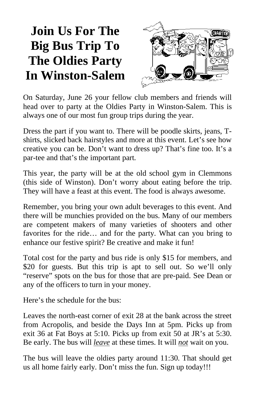## **Join Us For The Big Bus Trip To The Oldies Party In Winston-Salem**



On Saturday, June 26 your fellow club members and friends will head over to party at the Oldies Party in Winston-Salem. This is always one of our most fun group trips during the year.

Dress the part if you want to. There will be poodle skirts, jeans, Tshirts, slicked back hairstyles and more at this event. Let's see how creative you can be. Don't want to dress up? That's fine too. It's a par-tee and that's the important part.

This year, the party will be at the old school gym in Clemmons (this side of Winston). Don't worry about eating before the trip. They will have a feast at this event. The food is always awesome.

Remember, you bring your own adult beverages to this event. And there will be munchies provided on the bus. Many of our members are competent makers of many varieties of shooters and other favorites for the ride… and for the party. What can you bring to enhance our festive spirit? Be creative and make it fun!

Total cost for the party and bus ride is only \$15 for members, and \$20 for guests. But this trip is apt to sell out. So we'll only "reserve" spots on the bus for those that are pre-paid. See Dean or any of the officers to turn in your money.

Here's the schedule for the bus:

Leaves the north-east corner of exit 28 at the bank across the street from Acropolis, and beside the Days Inn at 5pm. Picks up from exit 36 at Fat Boys at 5:10. Picks up from exit 50 at JR's at 5:30. Be early. The bus will *leave* at these times. It will *not* wait on you.

The bus will leave the oldies party around 11:30. That should get us all home fairly early. Don't miss the fun. Sign up today!!!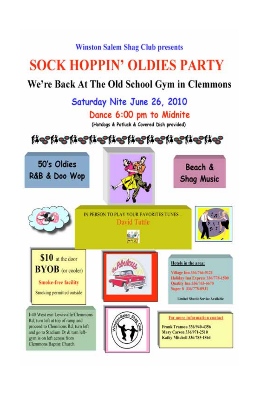#### **Winston Salem Shag Club presents**

## **SOCK HOPPIN' OLDIES PARTY**

### We're Back At The Old School Gym in Clemmons

## Saturday Nite June 26, 2010

#### Dance 6:00 pm to Midnite

(Hotdogs & Potluck & Covered Dish provided)

Netherherherherherherherher

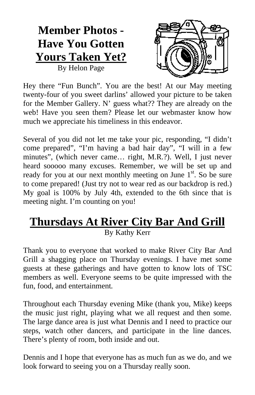## **Member Photos - Have You Gotten Yours Taken Yet?**

By Helon Page



Hey there "Fun Bunch". You are the best! At our May meeting twenty-four of you sweet darlins' allowed your picture to be taken for the Member Gallery. N' guess what?? They are already on the web! Have you seen them? Please let our webmaster know how much we appreciate his timeliness in this endeavor.

Several of you did not let me take your pic, responding, "I didn't come prepared", "I'm having a bad hair day", "I will in a few minutes", (which never came… right, M.R.?). Well, I just never heard sooooo many excuses. Remember, we will be set up and ready for you at our next monthly meeting on June  $1<sup>st</sup>$ . So be sure to come prepared! (Just try not to wear red as our backdrop is red.) My goal is 100% by July 4th, extended to the 6th since that is meeting night. I'm counting on you!

## **Thursdays At River City Bar And Grill**

By Kathy Kerr

Thank you to everyone that worked to make River City Bar And Grill a shagging place on Thursday evenings. I have met some guests at these gatherings and have gotten to know lots of TSC members as well. Everyone seems to be quite impressed with the fun, food, and entertainment.

Throughout each Thursday evening Mike (thank you, Mike) keeps the music just right, playing what we all request and then some. The large dance area is just what Dennis and I need to practice our steps, watch other dancers, and participate in the line dances. There's plenty of room, both inside and out.

Dennis and I hope that everyone has as much fun as we do, and we look forward to seeing you on a Thursday really soon.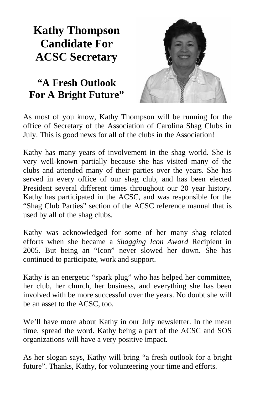## **Kathy Thompson Candidate For ACSC Secretary**

#### **"A Fresh Outlook For A Bright Future"**

As most of you know, Kathy Thompson will be running for the office of Secretary of the Association of Carolina Shag Clubs in July. This is good news for all of the clubs in the Association!

Kathy has many years of involvement in the shag world. She is very well-known partially because she has visited many of the clubs and attended many of their parties over the years. She has served in every office of our shag club, and has been elected President several different times throughout our 20 year history. Kathy has participated in the ACSC, and was responsible for the "Shag Club Parties" section of the ACSC reference manual that is used by all of the shag clubs.

Kathy was acknowledged for some of her many shag related efforts when she became a *Shagging Icon Award* Recipient in 2005. But being an "Icon" never slowed her down. She has continued to participate, work and support.

Kathy is an energetic "spark plug" who has helped her committee, her club, her church, her business, and everything she has been involved with be more successful over the years. No doubt she will be an asset to the ACSC, too.

We'll have more about Kathy in our July newsletter. In the mean time, spread the word. Kathy being a part of the ACSC and SOS organizations will have a very positive impact.

As her slogan says, Kathy will bring "a fresh outlook for a bright future". Thanks, Kathy, for volunteering your time and efforts.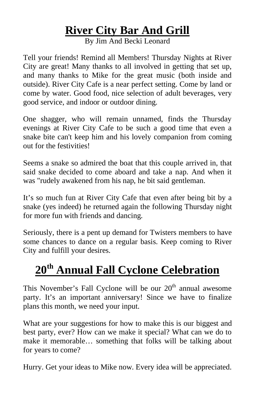## **River City Bar And Grill**

By Jim And Becki Leonard

Tell your friends! Remind all Members! Thursday Nights at River City are great! Many thanks to all involved in getting that set up, and many thanks to Mike for the great music (both inside and outside). River City Cafe is a near perfect setting. Come by land or come by water. Good food, nice selection of adult beverages, very good service, and indoor or outdoor dining.

One shagger, who will remain unnamed, finds the Thursday evenings at River City Cafe to be such a good time that even a snake bite can't keep him and his lovely companion from coming out for the festivities!

Seems a snake so admired the boat that this couple arrived in, that said snake decided to come aboard and take a nap. And when it was "rudely awakened from his nap, he bit said gentleman.

It's so much fun at River City Cafe that even after being bit by a snake (yes indeed) he returned again the following Thursday night for more fun with friends and dancing.

Seriously, there is a pent up demand for Twisters members to have some chances to dance on a regular basis. Keep coming to River City and fulfill your desires.

## **20th Annual Fall Cyclone Celebration**

This November's Fall Cyclone will be our  $20<sup>th</sup>$  annual awesome party. It's an important anniversary! Since we have to finalize plans this month, we need your input.

What are your suggestions for how to make this is our biggest and best party, ever? How can we make it special? What can we do to make it memorable… something that folks will be talking about for years to come?

Hurry. Get your ideas to Mike now. Every idea will be appreciated.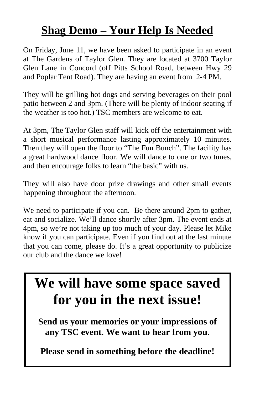## **Shag Demo – Your Help Is Needed**

On Friday, June 11, we have been asked to participate in an event at The Gardens of Taylor Glen. They are located at 3700 Taylor Glen Lane in Concord (off Pitts School Road, between Hwy 29 and Poplar Tent Road). They are having an event from 2-4 PM.

They will be grilling hot dogs and serving beverages on their pool patio between 2 and 3pm. (There will be plenty of indoor seating if the weather is too hot.) TSC members are welcome to eat.

At 3pm, The Taylor Glen staff will kick off the entertainment with a short musical performance lasting approximately 10 minutes. Then they will open the floor to "The Fun Bunch". The facility has a great hardwood dance floor. We will dance to one or two tunes, and then encourage folks to learn "the basic" with us.

They will also have door prize drawings and other small events happening throughout the afternoon.

We need to participate if you can. Be there around 2pm to gather, eat and socialize. We'll dance shortly after 3pm. The event ends at 4pm, so we're not taking up too much of your day. Please let Mike know if you can participate. Even if you find out at the last minute that you can come, please do. It's a great opportunity to publicize our club and the dance we love!

## **We will have some space saved for you in the next issue!**

**Send us your memories or your impressions of any TSC event. We want to hear from you.** 

**Please send in something before the deadline!**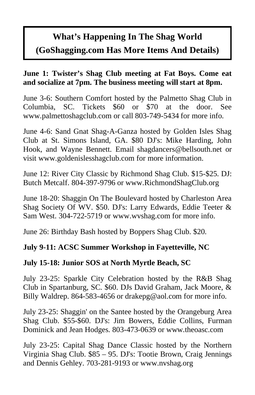### **What's Happening In The Shag World (GoShagging.com Has More Items And Details)**

#### **June 1: Twister's Shag Club meeting at Fat Boys. Come eat and socialize at 7pm. The business meeting will start at 8pm.**

June 3-6: Southern Comfort hosted by the Palmetto Shag Club in Columbia, SC. Tickets \$60 or \$70 at the door. See www.palmettoshagclub.com or call 803-749-5434 for more info.

June 4-6: Sand Gnat Shag-A-Ganza hosted by Golden Isles Shag Club at St. Simons Island, GA. \$80 DJ's: Mike Harding, John Hook, and Wayne Bennett. Email shagdancers@bellsouth.net or visit www.goldenislesshagclub.com for more information.

June 12: River City Classic by Richmond Shag Club. \$15-\$25. DJ: Butch Metcalf. 804-397-9796 or www.RichmondShagClub.org

June 18-20: Shaggin On The Boulevard hosted by Charleston Area Shag Society Of WV. \$50. DJ's: Larry Edwards, Eddie Teeter & Sam West. 304-722-5719 or www.wvshag.com for more info.

June 26: Birthday Bash hosted by Boppers Shag Club. \$20.

#### **July 9-11: ACSC Summer Workshop in Fayetteville, NC**

#### **July 15-18: Junior SOS at North Myrtle Beach, SC**

July 23-25: Sparkle City Celebration hosted by the R&B Shag Club in Spartanburg, SC. \$60. DJs David Graham, Jack Moore, & Billy Waldrep. 864-583-4656 or drakepg@aol.com for more info.

July 23-25: Shaggin' on the Santee hosted by the Orangeburg Area Shag Club. \$55-\$60. DJ's: Jim Bowers, Eddie Collins, Furman Dominick and Jean Hodges. 803-473-0639 or www.theoasc.com

July 23-25: Capital Shag Dance Classic hosted by the Northern Virginia Shag Club. \$85 – 95. DJ's: Tootie Brown, Craig Jennings and Dennis Gehley. 703-281-9193 or www.nvshag.org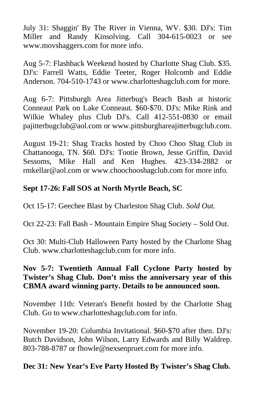July 31: Shaggin' By The River in Vienna, WV. \$30. DJ's: Tim Miller and Randy Kinsolving. Call 304-615-0023 or see www.movshaggers.com for more info.

Aug 5-7: Flashback Weekend hosted by Charlotte Shag Club. \$35. DJ's: Farrell Watts, Eddie Teeter, Roger Holcomb and Eddie Anderson. 704-510-1743 or www.charlotteshagclub.com for more.

Aug 6-7: Pittsburgh Area Jitterbug's Beach Bash at historic Conneaut Park on Lake Conneaut. \$60-\$70. DJ's: Mike Rink and Wilkie Whaley plus Club DJ's. Call 412-551-0830 or email pajitterbugclub@aol.com or www.pittsburghareajitterbugclub.com.

August 19-21: Shag Tracks hosted by Choo Choo Shag Club in Chattanooga, TN. \$60. DJ's: Tootie Brown, Jesse Griffin, David Sessoms, Mike Hall and Ken Hughes. 423-334-2882 or rmkellar@aol.com or www.choochooshagclub.com for more info.

#### **Sept 17-26: Fall SOS at North Myrtle Beach, SC**

Oct 15-17: Geechee Blast by Charleston Shag Club. *Sold Out.*

Oct 22-23: Fall Bash - Mountain Empire Shag Society – Sold Out.

Oct 30: Multi-Club Halloween Party hosted by the Charlotte Shag Club. www.charlotteshagclub.com for more info.

#### **Nov 5-7: Twentieth Annual Fall Cyclone Party hosted by Twister's Shag Club. Don't miss the anniversary year of this CBMA award winning party. Details to be announced soon.**

November 11th: Veteran's Benefit hosted by the Charlotte Shag Club. Go to www.charlotteshagclub.com for info.

November 19-20: Columbia Invitational. \$60-\$70 after then. DJ's: Butch Davidson, John Wilson, Larry Edwards and Billy Waldrep. 803-788-8787 or fhowle@nexsenpruet.com for more info.

#### **Dec 31: New Year's Eve Party Hosted By Twister's Shag Club.**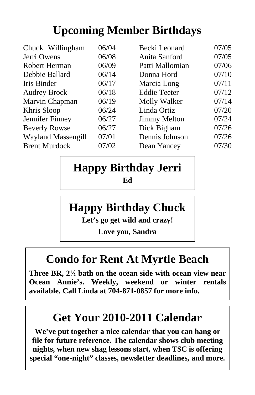## **Upcoming Member Birthdays**

| Chuck Willingham          | 06/04 | Becki Leonard       | 07/05 |
|---------------------------|-------|---------------------|-------|
| Jerri Owens               | 06/08 | Anita Sanford       | 07/05 |
| Robert Herman             | 06/09 | Patti Mallomian     | 07/06 |
| Debbie Ballard            | 06/14 | Donna Hord          | 07/10 |
| Iris Binder               | 06/17 | Marcia Long         | 07/11 |
| <b>Audrey Brock</b>       | 06/18 | <b>Eddie Teeter</b> | 07/12 |
| Marvin Chapman            | 06/19 | Molly Walker        | 07/14 |
| Khris Sloop               | 06/24 | Linda Ortiz         | 07/20 |
| Jennifer Finney           | 06/27 | <b>Jimmy Melton</b> | 07/24 |
| <b>Beverly Rowse</b>      | 06/27 | Dick Bigham         | 07/26 |
| <b>Wayland Massengill</b> | 07/01 | Dennis Johnson      | 07/26 |
| <b>Brent Murdock</b>      | 07/02 | Dean Yancey         | 07/30 |
|                           |       |                     |       |

## **Happy Birthday Jerri Ed**

## **Happy Birthday Chuck**

**Let's go get wild and crazy!** 

**Love you, Sandra** 

## **Condo for Rent At Myrtle Beach**

Three BR,  $2\frac{1}{2}$  bath on the ocean side with ocean view near **Ocean Annie's. Weekly, weekend or winter rentals available. Call Linda at 704-871-0857 for more info.** 

## **Get Your 2010-2011 Calendar**

**We've put together a nice calendar that you can hang or file for future reference. The calendar shows club meeting nights, when new shag lessons start, when TSC is offering special "one-night" classes, newsletter deadlines, and more.**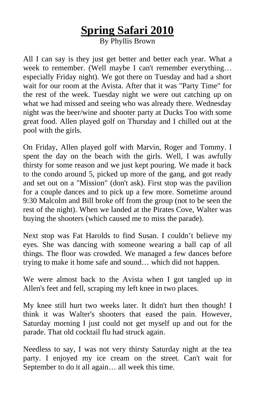## **Spring Safari 2010**

By Phyllis Brown

All I can say is they just get better and better each year. What a week to remember. (Well maybe I can't remember everything… especially Friday night). We got there on Tuesday and had a short wait for our room at the Avista. After that it was "Party Time" for the rest of the week. Tuesday night we were out catching up on what we had missed and seeing who was already there. Wednesday night was the beer/wine and shooter party at Ducks Too with some great food. Allen played golf on Thursday and I chilled out at the pool with the girls.

On Friday, Allen played golf with Marvin, Roger and Tommy. I spent the day on the beach with the girls. Well, I was awfully thirsty for some reason and we just kept pouring. We made it back to the condo around 5, picked up more of the gang, and got ready and set out on a "Mission" (don't ask). First stop was the pavilion for a couple dances and to pick up a few more. Sometime around 9:30 Malcolm and Bill broke off from the group (not to be seen the rest of the night). When we landed at the Pirates Cove, Walter was buying the shooters (which caused me to miss the parade).

Next stop was Fat Harolds to find Susan. I couldn't believe my eyes. She was dancing with someone wearing a ball cap of all things. The floor was crowded. We managed a few dances before trying to make it home safe and sound… which did not happen.

We were almost back to the Avista when I got tangled up in Allen's feet and fell, scraping my left knee in two places.

My knee still hurt two weeks later. It didn't hurt then though! I think it was Walter's shooters that eased the pain. However, Saturday morning I just could not get myself up and out for the parade. That old cocktail flu had struck again.

Needless to say, I was not very thirsty Saturday night at the tea party. I enjoyed my ice cream on the street. Can't wait for September to do it all again… all week this time.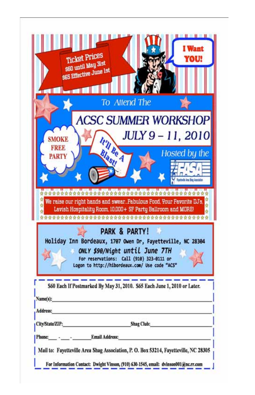| a Marantill                 | <b>Ticket Prices</b><br><b>960 until May 31st</b><br><b>965 Effective June 1st</b>                                                                                                                                     | <b>Want</b><br>YOU! |
|-----------------------------|------------------------------------------------------------------------------------------------------------------------------------------------------------------------------------------------------------------------|---------------------|
|                             | To Attend The                                                                                                                                                                                                          |                     |
|                             | <b>ACSC SUMMER WORKSHOP</b>                                                                                                                                                                                            |                     |
|                             |                                                                                                                                                                                                                        |                     |
| <b>SMOKE</b>                |                                                                                                                                                                                                                        | JULY 9 - 11, 2010   |
| <b>FREE</b><br><b>PARTY</b> | It'll Be A                                                                                                                                                                                                             | Hosted by the       |
|                             | ******************************                                                                                                                                                                                         |                     |
|                             | We raise our right hands and swear. Fabulous Food, Your Favorite DJ's,<br>Lavish Hospitality Room, 10,000+ SF Party Ballroom and MORE!                                                                                 |                     |
|                             | <b>PARK &amp; PARTY!</b><br>Holiday Inn Bordeaux, 1707 Owen Dr, Fayetteville, NC 28304<br>ONLY \$90/Night until June 7TH<br>For reservations: Call (910) 323-0111 or<br>Logon to http://hibordeaux.com/ Use code "ACS" |                     |
|                             | S60 Each If Postmarked By May 31, 2010. S65 Each June 1, 2010 or Later.                                                                                                                                                |                     |
| Name(s):                    |                                                                                                                                                                                                                        |                     |
|                             |                                                                                                                                                                                                                        |                     |
|                             |                                                                                                                                                                                                                        |                     |
| Address:                    |                                                                                                                                                                                                                        |                     |
| City/State/ZIP:<br>Phone:   | <b>Shag Club:</b><br>Email Address:                                                                                                                                                                                    |                     |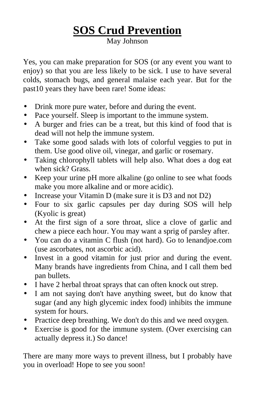## **SOS Crud Prevention**

May Johnson

Yes, you can make preparation for SOS (or any event you want to enjoy) so that you are less likely to be sick. I use to have several colds, stomach bugs, and general malaise each year. But for the past10 years they have been rare! Some ideas:

- Drink more pure water, before and during the event.
- Pace yourself. Sleep is important to the immune system.
- A burger and fries can be a treat, but this kind of food that is dead will not help the immune system.
- Take some good salads with lots of colorful veggies to put in them. Use good olive oil, vinegar, and garlic or rosemary.
- Taking chlorophyll tablets will help also. What does a dog eat when sick? Grass.
- Keep your urine pH more alkaline (go online to see what foods make you more alkaline and or more acidic).
- Increase your Vitamin D (make sure it is D3 and not D2)
- Four to six garlic capsules per day during SOS will help (Kyolic is great)
- At the first sign of a sore throat, slice a clove of garlic and chew a piece each hour. You may want a sprig of parsley after.
- You can do a vitamin C flush (not hard). Go to lenandjoe.com (use ascorbates, not ascorbic acid).
- Invest in a good vitamin for just prior and during the event. Many brands have ingredients from China, and I call them bed pan bullets.
- I have 2 herbal throat sprays that can often knock out strep.
- I am not saying don't have anything sweet, but do know that sugar (and any high glycemic index food) inhibits the immune system for hours.
- Practice deep breathing. We don't do this and we need oxygen.
- Exercise is good for the immune system. (Over exercising can actually depress it.) So dance!

There are many more ways to prevent illness, but I probably have you in overload! Hope to see you soon!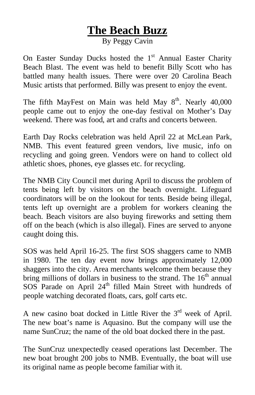### **The Beach Buzz**

By Peggy Cavin

On Easter Sunday Ducks hosted the  $1<sup>st</sup>$  Annual Easter Charity Beach Blast. The event was held to benefit Billy Scott who has battled many health issues. There were over 20 Carolina Beach Music artists that performed. Billy was present to enjoy the event.

The fifth MayFest on Main was held May  $8<sup>th</sup>$ . Nearly 40,000 people came out to enjoy the one-day festival on Mother's Day weekend. There was food, art and crafts and concerts between.

Earth Day Rocks celebration was held April 22 at McLean Park, NMB. This event featured green vendors, live music, info on recycling and going green. Vendors were on hand to collect old athletic shoes, phones, eye glasses etc. for recycling.

The NMB City Council met during April to discuss the problem of tents being left by visitors on the beach overnight. Lifeguard coordinators will be on the lookout for tents. Beside being illegal, tents left up overnight are a problem for workers cleaning the beach. Beach visitors are also buying fireworks and setting them off on the beach (which is also illegal). Fines are served to anyone caught doing this.

SOS was held April 16-25. The first SOS shaggers came to NMB in 1980. The ten day event now brings approximately 12,000 shaggers into the city. Area merchants welcome them because they bring millions of dollars in business to the strand. The  $16<sup>th</sup>$  annual SOS Parade on April 24<sup>th</sup> filled Main Street with hundreds of people watching decorated floats, cars, golf carts etc.

A new casino boat docked in Little River the  $3<sup>rd</sup>$  week of April. The new boat's name is Aquasino. But the company will use the name SunCruz; the name of the old boat docked there in the past.

The SunCruz unexpectedly ceased operations last December. The new boat brought 200 jobs to NMB. Eventually, the boat will use its original name as people become familiar with it.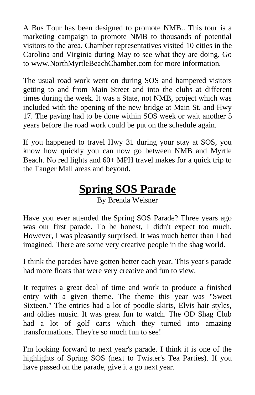A Bus Tour has been designed to promote NMB.. This tour is a marketing campaign to promote NMB to thousands of potential visitors to the area. Chamber representatives visited 10 cities in the Carolina and Virginia during May to see what they are doing. Go to www.NorthMyrtleBeachChamber.com for more information.

The usual road work went on during SOS and hampered visitors getting to and from Main Street and into the clubs at different times during the week. It was a State, not NMB, project which was included with the opening of the new bridge at Main St. and Hwy 17. The paving had to be done within SOS week or wait another 5 years before the road work could be put on the schedule again.

If you happened to travel Hwy 31 during your stay at SOS, you know how quickly you can now go between NMB and Myrtle Beach. No red lights and 60+ MPH travel makes for a quick trip to the Tanger Mall areas and beyond.

## **Spring SOS Parade**

By Brenda Weisner

Have you ever attended the Spring SOS Parade? Three years ago was our first parade. To be honest, I didn't expect too much. However, I was pleasantly surprised. It was much better than I had imagined. There are some very creative people in the shag world.

I think the parades have gotten better each year. This year's parade had more floats that were very creative and fun to view.

It requires a great deal of time and work to produce a finished entry with a given theme. The theme this year was "Sweet Sixteen." The entries had a lot of poodle skirts, Elvis hair styles, and oldies music. It was great fun to watch. The OD Shag Club had a lot of golf carts which they turned into amazing transformations. They're so much fun to see!

I'm looking forward to next year's parade. I think it is one of the highlights of Spring SOS (next to Twister's Tea Parties). If you have passed on the parade, give it a go next year.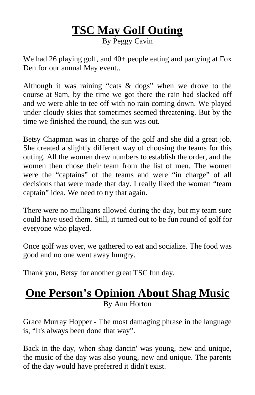## **TSC May Golf Outing**

By Peggy Cavin

We had 26 playing golf, and 40+ people eating and partying at Fox Den for our annual May event..

Although it was raining "cats & dogs" when we drove to the course at 9am, by the time we got there the rain had slacked off and we were able to tee off with no rain coming down. We played under cloudy skies that sometimes seemed threatening. But by the time we finished the round, the sun was out.

Betsy Chapman was in charge of the golf and she did a great job. She created a slightly different way of choosing the teams for this outing. All the women drew numbers to establish the order, and the women then chose their team from the list of men. The women were the "captains" of the teams and were "in charge" of all decisions that were made that day. I really liked the woman "team captain" idea. We need to try that again.

There were no mulligans allowed during the day, but my team sure could have used them. Still, it turned out to be fun round of golf for everyone who played.

Once golf was over, we gathered to eat and socialize. The food was good and no one went away hungry.

Thank you, Betsy for another great TSC fun day.

#### **One Person's Opinion About Shag Music** By Ann Horton

Grace Murray Hopper - The most damaging phrase in the language is, "It's always been done that way".

Back in the day, when shag dancin' was young, new and unique, the music of the day was also young, new and unique. The parents of the day would have preferred it didn't exist.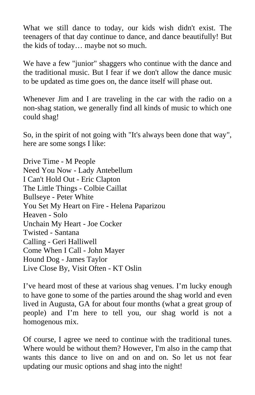What we still dance to today, our kids wish didn't exist. The teenagers of that day continue to dance, and dance beautifully! But the kids of today… maybe not so much.

We have a few "junior" shaggers who continue with the dance and the traditional music. But I fear if we don't allow the dance music to be updated as time goes on, the dance itself will phase out.

Whenever Jim and I are traveling in the car with the radio on a non-shag station, we generally find all kinds of music to which one could shag!

So, in the spirit of not going with "It's always been done that way", here are some songs I like:

Drive Time - M People Need You Now - Lady Antebellum I Can't Hold Out - Eric Clapton The Little Things - Colbie Caillat Bullseye - Peter White You Set My Heart on Fire - Helena Paparizou Heaven - Solo Unchain My Heart - Joe Cocker Twisted - Santana Calling - Geri Halliwell Come When I Call - John Mayer Hound Dog - James Taylor Live Close By, Visit Often - KT Oslin

I've heard most of these at various shag venues. I'm lucky enough to have gone to some of the parties around the shag world and even lived in Augusta, GA for about four months (what a great group of people) and I'm here to tell you, our shag world is not a homogenous mix.

Of course, I agree we need to continue with the traditional tunes. Where would be without them? However, I'm also in the camp that wants this dance to live on and on and on. So let us not fear updating our music options and shag into the night!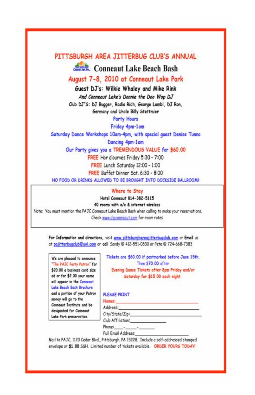#### PITTSBURGH AREA JITTERBUG CLUB'S ANNUAL

Conneaut Lake Beach Bash

August 7-8, 2010 at Conneaut Lake Park

Guest DJ's: Wilkie Whaley and Mike Rink And Conneaut Lake's Donnie the Doo Wop DJ Club DJ"S: DJ Bugger, Radio Rich, George Lambl, DJ Ron, Germany and Uncle Billy Stettmier

**Party Hours** 

Friday 4pm-1am

Saturday Dance Workshops 10am-4pm, with special quest Denise Tunno Dancing 4pm-1am

Our Party gives you a TREMENDOUS VALUE for \$60.00

FREE Hor d'ourves Friday 5:30 - 7:00

FREE Lunch Saturday 12:00 - 1:00

FREE Buffet Dinner Sat. 6:30 - 8:00

NO FOOD OR DRINKS ALLOWED TO BE BROUGHT INTO DOCKSIDE BALLROOM!

Where to Stay

Hotel Conneaut 814-382-5115

40 rooms with a/c & internet wireless

Note: You must mention the PAJC Conneaut Lake Beach Bash when calling to make your reservations. Check www.clpconneaut.com for room rates

For Information and directions, visit www.pittsburghareajitterbuaclub.com or Email us at pajitterbuaclub@aol.com or call Sandy @ 412-551-0830 or Pete @ 724-668-7383

We are pleased to announce The PAJC Party Patron for \$20.00 a business card size ad or for \$2.00 your name will appear in the Connecut Lake Beach Bash Brochure and a portion of your Patron money will go to the Conneaut Institute and be designated for Conneaut Lake Park preservation.

Tickets are \$60.00 if postmarked before June 15th. Then \$70,00 often Evening Dance Tickets after 8pm Friday and/or Saturday for \$15.00 each night

#### PLEASE PRINT

Names

Address:

City/State/Zip:

Club Affiliation:

Phone: -2010/07/07

Full Email Address:

Mail to PAJC, 1120 Cedar Blvd., Pittsburgh, PA 15228. Include a self-addressed stamped envelope or \$1,00 S&H. Limited number of tickets available. ORDER YOURS TODAY!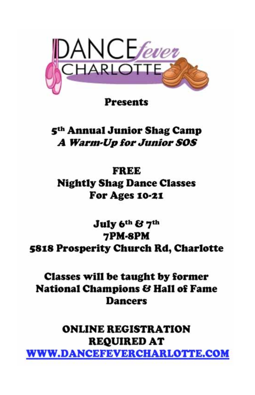

**Presents** 

5<sup>th</sup> Annual Junior Shag Camp A Warm-Up for Junior SOS

FREE **Nightly Shag Dance Classes** For Ages 10-21

July 6th & 7th 7PM-8PM **5818 Prosperity Church Rd, Charlotte** 

Classes will be taught by former **National Champions & Hall of Fame Dancers** 

**ONLINE REGISTRATION REQUIRED AT WWW.DANCEFEVERCHARLOTTE.COM**